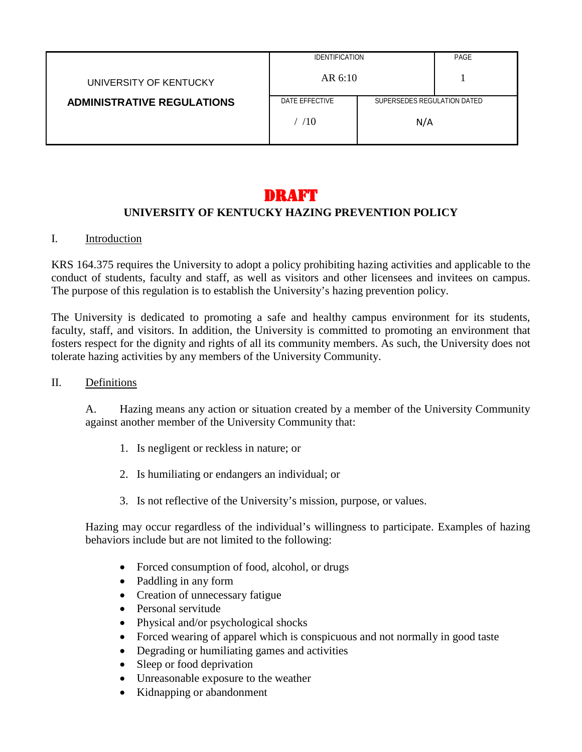|                                   | <b>IDENTIFICATION</b>                         |     | PAGE |
|-----------------------------------|-----------------------------------------------|-----|------|
| UNIVERSITY OF KENTUCKY            | AR 6:10                                       |     |      |
| <b>ADMINISTRATIVE REGULATIONS</b> | DATE EFFECTIVE<br>SUPERSEDES REGULATION DATED |     |      |
|                                   | /10                                           | N/A |      |

# DRAFT

# **UNIVERSITY OF KENTUCKY HAZING PREVENTION POLICY**

### I. Introduction

KRS 164.375 requires the University to adopt a policy prohibiting hazing activities and applicable to the conduct of students, faculty and staff, as well as visitors and other licensees and invitees on campus. The purpose of this regulation is to establish the University's hazing prevention policy.

The University is dedicated to promoting a safe and healthy campus environment for its students, faculty, staff, and visitors. In addition, the University is committed to promoting an environment that fosters respect for the dignity and rights of all its community members. As such, the University does not tolerate hazing activities by any members of the University Community.

#### II. Definitions

A. Hazing means any action or situation created by a member of the University Community against another member of the University Community that:

- 1. Is negligent or reckless in nature; or
- 2. Is humiliating or endangers an individual; or
- 3. Is not reflective of the University's mission, purpose, or values.

Hazing may occur regardless of the individual's willingness to participate. Examples of hazing behaviors include but are not limited to the following:

- Forced consumption of food, alcohol, or drugs
- Paddling in any form
- Creation of unnecessary fatigue
- Personal servitude
- Physical and/or psychological shocks
- Forced wearing of apparel which is conspicuous and not normally in good taste
- Degrading or humiliating games and activities
- Sleep or food deprivation
- Unreasonable exposure to the weather
- Kidnapping or abandonment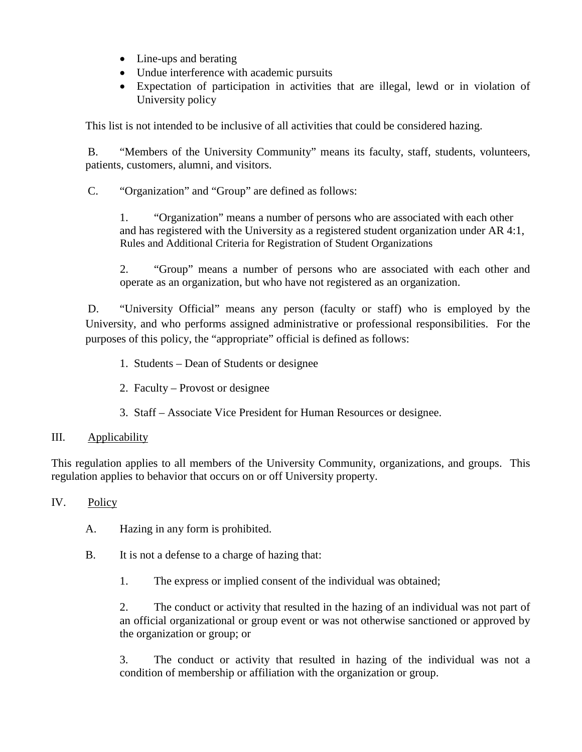- Line-ups and berating
- Undue interference with academic pursuits
- Expectation of participation in activities that are illegal, lewd or in violation of University policy

This list is not intended to be inclusive of all activities that could be considered hazing.

B. "Members of the University Community" means its faculty, staff, students, volunteers, patients, customers, alumni, and visitors.

C. "Organization" and "Group" are defined as follows:

1. "Organization" means a number of persons who are associated with each other and has registered with the University as a registered student organization under AR 4:1, Rules and Additional Criteria for Registration of Student Organizations

2. "Group" means a number of persons who are associated with each other and operate as an organization, but who have not registered as an organization.

D. "University Official" means any person (faculty or staff) who is employed by the University, and who performs assigned administrative or professional responsibilities. For the purposes of this policy, the "appropriate" official is defined as follows:

- 1. Students Dean of Students or designee
- 2. Faculty Provost or designee
- 3. Staff Associate Vice President for Human Resources or designee.

## III. Applicability

This regulation applies to all members of the University Community, organizations, and groups. This regulation applies to behavior that occurs on or off University property.

## IV. Policy

- A. Hazing in any form is prohibited.
- B. It is not a defense to a charge of hazing that:
	- 1. The express or implied consent of the individual was obtained;

2. The conduct or activity that resulted in the hazing of an individual was not part of an official organizational or group event or was not otherwise sanctioned or approved by the organization or group; or

3. The conduct or activity that resulted in hazing of the individual was not a condition of membership or affiliation with the organization or group.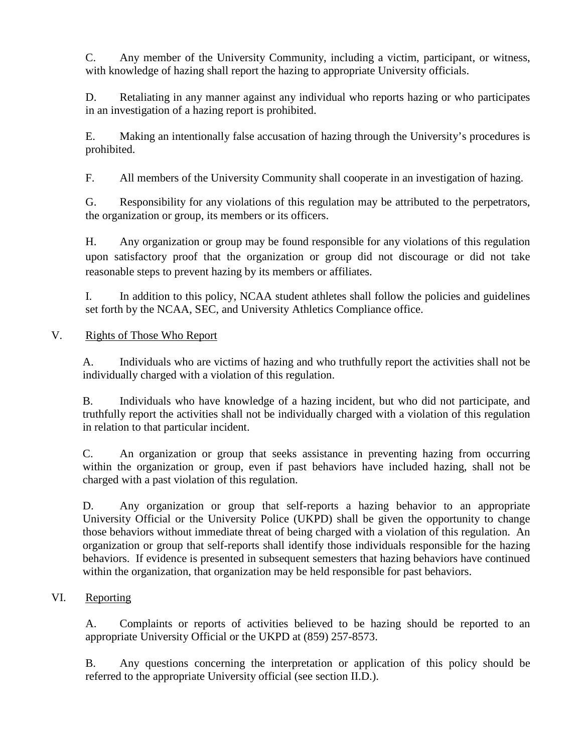C. Any member of the University Community, including a victim, participant, or witness, with knowledge of hazing shall report the hazing to appropriate University officials.

D. Retaliating in any manner against any individual who reports hazing or who participates in an investigation of a hazing report is prohibited.

E. Making an intentionally false accusation of hazing through the University's procedures is prohibited.

F. All members of the University Community shall cooperate in an investigation of hazing.

G. Responsibility for any violations of this regulation may be attributed to the perpetrators, the organization or group, its members or its officers.

H. Any organization or group may be found responsible for any violations of this regulation upon satisfactory proof that the organization or group did not discourage or did not take reasonable steps to prevent hazing by its members or affiliates.

I. In addition to this policy, NCAA student athletes shall follow the policies and guidelines set forth by the NCAA, SEC, and University Athletics Compliance office.

# V. Rights of Those Who Report

A. Individuals who are victims of hazing and who truthfully report the activities shall not be individually charged with a violation of this regulation.

B. Individuals who have knowledge of a hazing incident, but who did not participate, and truthfully report the activities shall not be individually charged with a violation of this regulation in relation to that particular incident.

C. An organization or group that seeks assistance in preventing hazing from occurring within the organization or group, even if past behaviors have included hazing, shall not be charged with a past violation of this regulation.

D. Any organization or group that self-reports a hazing behavior to an appropriate University Official or the University Police (UKPD) shall be given the opportunity to change those behaviors without immediate threat of being charged with a violation of this regulation. An organization or group that self-reports shall identify those individuals responsible for the hazing behaviors. If evidence is presented in subsequent semesters that hazing behaviors have continued within the organization, that organization may be held responsible for past behaviors.

# VI. Reporting

A. Complaints or reports of activities believed to be hazing should be reported to an appropriate University Official or the UKPD at (859) 257-8573.

B. Any questions concerning the interpretation or application of this policy should be referred to the appropriate University official (see section II.D.).